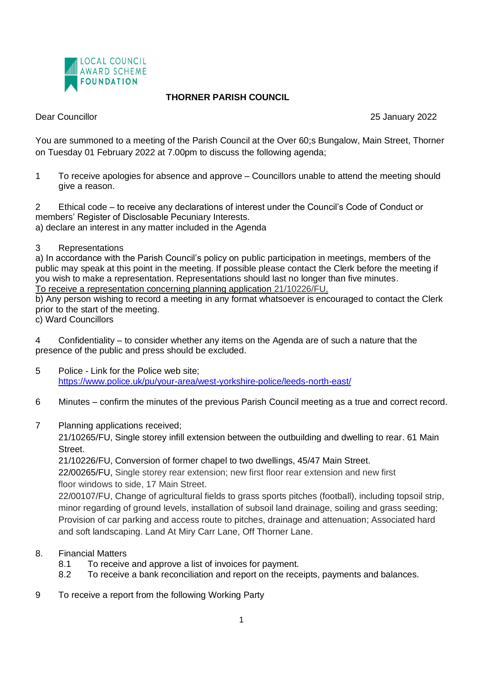

## **THORNER PARISH COUNCIL**

Dear Councillor 25 January 2022

You are summoned to a meeting of the Parish Council at the Over 60;s Bungalow, Main Street, Thorner on Tuesday 01 February 2022 at 7.00pm to discuss the following agenda;

1 To receive apologies for absence and approve – Councillors unable to attend the meeting should give a reason.

2 Ethical code – to receive any declarations of interest under the Council's Code of Conduct or members' Register of Disclosable Pecuniary Interests. a) declare an interest in any matter included in the Agenda

## 3 Representations

a) In accordance with the Parish Council's policy on public participation in meetings, members of the public may speak at this point in the meeting. If possible please contact the Clerk before the meeting if you wish to make a representation. Representations should last no longer than five minutes. To receive a representation concerning planning application 21/10226/FU.

b) Any person wishing to record a meeting in any format whatsoever is encouraged to contact the Clerk prior to the start of the meeting.

c) Ward Councillors

4 Confidentiality – to consider whether any items on the Agenda are of such a nature that the presence of the public and press should be excluded.

- 5 Police Link for the Police web site; <https://www.police.uk/pu/your-area/west-yorkshire-police/leeds-north-east/>
- 6 Minutes confirm the minutes of the previous Parish Council meeting as a true and correct record.
- 7 Planning applications received;

21/10265/FU, Single storey infill extension between the outbuilding and dwelling to rear. 61 Main Street.

21/10226/FU, Conversion of former chapel to two dwellings, 45/47 Main Street.

22/00265/FU, Single storey rear extension; new first floor rear extension and new first floor windows to side, 17 Main Street.

22/00107/FU, Change of agricultural fields to grass sports pitches (football), including topsoil strip, minor regarding of ground levels, installation of subsoil land drainage, soiling and grass seeding; Provision of car parking and access route to pitches, drainage and attenuation; Associated hard and soft landscaping. Land At Miry Carr Lane, Off Thorner Lane.

- 8. Financial Matters
	- 8.1 To receive and approve a list of invoices for payment.

8.2 To receive a bank reconciliation and report on the receipts, payments and balances.

9 To receive a report from the following Working Party